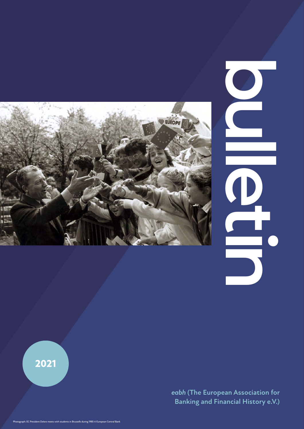

**bulletin**

**2021**

 *eabh* **(The European Association for Banking and Financial History e.V.)**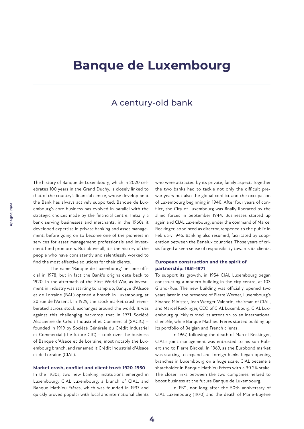# **Banque de Luxembourg**

### A century-old bank

The history of Banque de Luxembourg, which in 2020 celebrates 100 years in the Grand Duchy, is closely linked to that of the country's financial centre, whose development the Bank has always actively supported. Banque de Luxembourg's core business has evolved in parallel with the strategic choices made by the financial centre. Initially a bank serving businesses and merchants, in the 1960s it developed expertise in private banking and asset management, before going on to become one of the pioneers in services for asset management professionals and investment fund promoters. But above all, it's the history of the people who have consistently and relentlessly worked to find the most effective solutions for their clients.

The name 'Banque de Luxembourg' became official in 1978, but in fact the Bank's origins date back to 1920. In the aftermath of the First World War, as investment in industry was starting to ramp up, Banque d'Alsace et de Lorraine (BAL) opened a branch in Luxembourg, at 20 rue de l'Arsenal. In 1929, the stock market crash reverberated across stock exchanges around the world. It was against this challenging backdrop that in 1931 Société Alsacienne de Crédit Industriel et Commercial (SACIC) – founded in 1919 by Société Générale du Crédit Industriel et Commercial (the future CIC) – took over the business of Banque d'Alsace et de Lorraine, most notably the Luxembourg branch, and renamed it Crédit Industriel d'Alsace et de Lorraine (CIAL).

#### **Market crash, conflict and client trust: 1920–1950**

In the 1930s, two new banking institutions emerged in Luxembourg: CIAL Luxembourg, a branch of CIAL, and Banque Mathieu Frères, which was founded in 1937 and quickly proved popular with local andinternational clients who were attracted by its private, family aspect. Together the two banks had to tackle not only the difficult prewar years but also the global conflict and the occupation of Luxembourg beginning in 1940. After four years of conflict, the City of Luxembourg was finally liberated by the allied forces in September 1944. Businesses started up again and CIAL Luxembourg, under the command of Marcel Reckinger, appointed as director, reopened to the public in February 1945. Banking also resumed, facilitated by cooperation between the Benelux countries. Those years of crisis forged a keen sense of responsibility towards its clients.

#### **European construction and the spirit of partnership: 1951–1971**

To support its growth, in 1954 CIAL Luxembourg began constructing a modern building in the city centre, at 103 Grand-Rue. The new building was officially opened two years later in the presence of Pierre Werner, Luxembourg's Finance Minister, Jean Wenger-Valentin, chairman of CIAL, and Marcel Reckinger, CEO of CIAL Luxembourg. CIAL Luxembourg quickly turned its attention to an international clientèle, while Banque Mathieu Frères started building up its portfolio of Belgian and French clients.

In 1967, following the death of Marcel Reckinger, CIAL's joint management was entrusted to his son Robert and to Pierre Birckel. In 1969, as the Eurobond market was starting to expand and foreign banks began opening branches in Luxembourg on a huge scale, CIAL became a shareholder in Banque Mathieu Frères with a 30.2% stake. The closer links between the two companies helped to boost business at the future Banque de Luxembourg.

In 1971, not long after the 50th anniversary of CIAL Luxembourg (1970) and the death of Marie-Eugène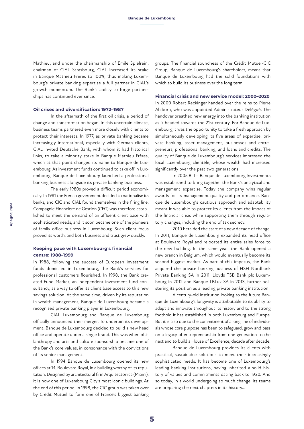Mathieu, and under the chairmanship of Emile Spielrein, chairman of CIAL Strasbourg, CIAL increased its stake in Banque Mathieu Frères to 100%, thus making Luxembourg's private banking expertise a full partner in CIAL's growth momentum. The Bank's ability to forge partnerships has continued ever since.

#### **Oil crises and diversification: 1972–1987**

In the aftermath of the first oil crisis, a period of change and transformation began. In this uncertain climate, business teams partnered even more closely with clients to protect their interests. In 1977, as private banking became increasingly international, especially with German clients, CIAL invited Deutsche Bank, with whom it had historical links, to take a minority stake in Banque Mathieu Frères, which at that point changed its name to Banque de Luxembourg. As investment funds continued to take off in Luxembourg, Banque de Luxembourg launched a professional banking business alongside its private banking business.

The early 1980s proved a difficult period economically. In 1981 the French government decided to nationalise its banks, and CIC and CIAL found themselves in the firing line. Compagnie Financière de Gestion (CFG) was therefore established to meet the demand of an affluent client base with sophisticated needs, and it soon became one of the pioneers of family office business in Luxembourg. Such client focus proved its worth, and both business and trust grew quickly.

#### **Keeping pace with Luxembourg's financial centre: 1988–1999**

In 1988, following the success of European investment funds domiciled in Luxembourg, the Bank's services for professional customers flourished. In 1998, the Bank created Fund-Market, an independent investment fund consultancy, as a way to offer its client base access to this new savings solution. At the same time, driven by its reputation in wealth management, Banque de Luxembourg became a recognised private banking player in Luxembourg.

CIAL Luxembourg and Banque de Luxembourg officially announced their merger. To underpin its development, Banque de Luxembourg decided to build a new head office and operate under a single brand. This was when philanthropy and arts and culture sponsorship became one of the Bank's core values, in consonance with the convictions of its senior management.

In 1994 Banque de Luxembourg opened its new offices at 14, Boulevard Royal, in a building worthy of its reputation. Designed by architectural firm Arquitectonica (Miami), it is now one of Luxembourg City's most iconic buildings. At the end of this period, in 1998, the CIC group was taken over by Crédit Mutuel to form one of France's biggest banking

groups. The financial soundness of the Crédit Mutuel-CIC Group, Banque de Luxembourg's shareholder, meant that Banque de Luxembourg had the solid foundations with which to build its business over the long term.

#### **Financial crisis and new service model: 2000–2020**

In 2000 Robert Reckinger handed over the reins to Pierre Ahlborn, who was appointed Administrateur Délégué. The handover breathed new energy into the banking institution as it headed towards the 21st century. For Banque de Luxembourg it was the opportunity to take a fresh approach by simultaneously developing its five areas of expertise: private banking, asset management, businesses and entrepreneurs, professional banking, and loans and credits. The quality of Banque de Luxembourg's services impressed the local Luxembourg clientèle, whose wealth had increased significantly over the past two generations.

In 2005 BLI – Banque de Luxembourg Investments was established to bring together the Bank's analytical and management expertise. Today the company wins regular awards for its management quality and performance. Banque de Luxembourg's cautious approach and adaptability meant it was able to protect its clients from the impact of the financial crisis while supporting them through regulatory changes, including the end of tax secrecy.

2010 heralded the start of a new decade of change. In 2011, Banque de Luxembourg expanded its head office at Boulevard Royal and relocated its entire sales force to the new building. In the same year, the Bank opened a new branch in Belgium, which would eventually become its second biggest market. As part of this impetus, the Bank acquired the private banking business of HSH Nordbank Private Banking SA in 2011, Lloyds TSB Bank plc Luxembourg in 2012 and Banque LBLux SA in 2013, further bolstering its position as a leading private banking institution.

A century-old institution looking to the future Banque de Luxembourg's longevity is attributable to its ability to adapt and innovate throughout its history and to the strong foothold it has established in both Luxembourg and Europe. But it is also due to the commitment of a long line of individuals whose core purpose has been to safeguard, grow and pass on a legacy of entrepreneurship from one generation to the next and to build a House of Excellence, decade after decade.

Banque de Luxembourg provides its clients with practical, sustainable solutions to meet their increasingly sophisticated needs. It has become one of Luxembourg's leading banking institutions, having inherited a solid history of values and commitments dating back to 1920. And so today, in a world undergoing so much change, its teams are preparing the next chapters in its history...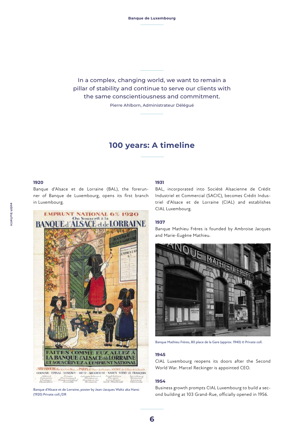In a complex, changing world, we want to remain a pillar of stability and continue to serve our clients with the same conscientiousness and commitment. Pierre Ahlborn, Administrateur Délégué

## **100 years: A timeline**

#### **1920**

Banque d'Alsace et de Lorraine (BAL), the forerunner of Banque de Luxembourg, opens its first branch in Luxembourg.



Banque d'Alsace et de Lorraine, poster by Jean-Jacques Waltz aka Hansi (1920) Private coll./DR

#### **1931**

BAL, incorporated into Société Alsacienne de Crédit Industriel et Commercial (SACIC), becomes Crédit Industriel d'Alsace et de Lorraine (CIAL) and establishes CIAL Luxembourg.

#### **1937**

Banque Mathieu Frères is founded by Ambroise Jacques and Marie-Eugène Mathieu.



Banque Mathieu Frères, 80 place de la Gare (approx. 1940) © Private coll.

#### **1945**

CIAL Luxembourg reopens its doors after the Second World War. Marcel Reckinger is appointed CEO.

#### **1954**

Business growth prompts CIAL Luxembourg to build a second building at 103 Grand-Rue, officially opened in 1956.